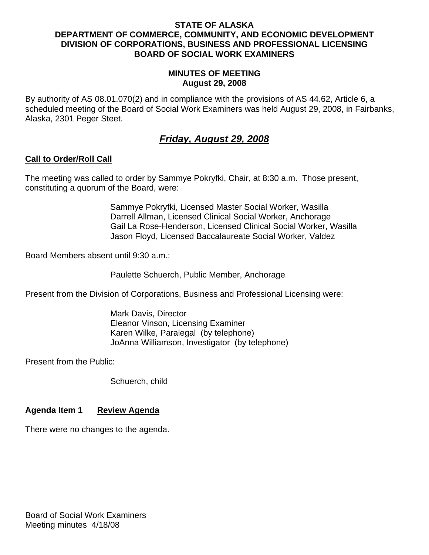### **STATE OF ALASKA DEPARTMENT OF COMMERCE, COMMUNITY, AND ECONOMIC DEVELOPMENT DIVISION OF CORPORATIONS, BUSINESS AND PROFESSIONAL LICENSING BOARD OF SOCIAL WORK EXAMINERS**

### **MINUTES OF MEETING August 29, 2008**

By authority of AS 08.01.070(2) and in compliance with the provisions of AS 44.62, Article 6, a scheduled meeting of the Board of Social Work Examiners was held August 29, 2008, in Fairbanks, Alaska, 2301 Peger Steet.

# *Friday, August 29, 2008*

## **Call to Order/Roll Call**

The meeting was called to order by Sammye Pokryfki, Chair, at 8:30 a.m. Those present, constituting a quorum of the Board, were:

> Sammye Pokryfki, Licensed Master Social Worker, Wasilla Darrell Allman, Licensed Clinical Social Worker, Anchorage Gail La Rose-Henderson, Licensed Clinical Social Worker, Wasilla Jason Floyd, Licensed Baccalaureate Social Worker, Valdez

Board Members absent until 9:30 a.m.:

Paulette Schuerch, Public Member, Anchorage

Present from the Division of Corporations, Business and Professional Licensing were:

 Mark Davis, Director Eleanor Vinson, Licensing Examiner Karen Wilke, Paralegal (by telephone) JoAnna Williamson, Investigator (by telephone)

Present from the Public:

Schuerch, child

## **Agenda Item 1 Review Agenda**

There were no changes to the agenda.

Board of Social Work Examiners Meeting minutes 4/18/08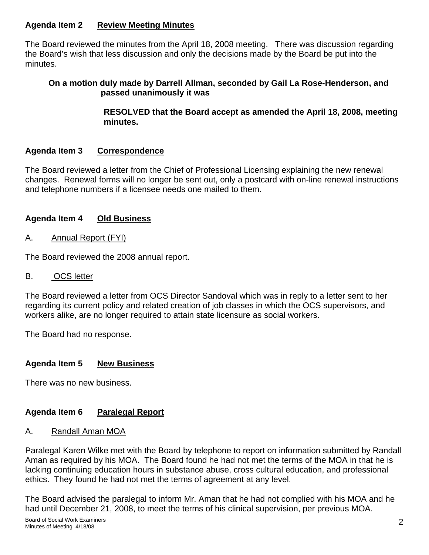## **Agenda Item 2 Review Meeting Minutes**

The Board reviewed the minutes from the April 18, 2008 meeting. There was discussion regarding the Board's wish that less discussion and only the decisions made by the Board be put into the minutes.

### **On a motion duly made by Darrell Allman, seconded by Gail La Rose-Henderson, and passed unanimously it was**

 **RESOLVED that the Board accept as amended the April 18, 2008, meeting minutes.** 

## **Agenda Item 3 Correspondence**

The Board reviewed a letter from the Chief of Professional Licensing explaining the new renewal changes. Renewal forms will no longer be sent out, only a postcard with on-line renewal instructions and telephone numbers if a licensee needs one mailed to them.

## **Agenda Item 4 Old Business**

A.Annual Report (FYI)

The Board reviewed the 2008 annual report.

### B. OCS letter

The Board reviewed a letter from OCS Director Sandoval which was in reply to a letter sent to her regarding its current policy and related creation of job classes in which the OCS supervisors, and workers alike, are no longer required to attain state licensure as social workers.

The Board had no response.

## **Agenda Item 5 New Business**

There was no new business.

## **Agenda Item 6 Paralegal Report**

### A. Randall Aman MOA

Paralegal Karen Wilke met with the Board by telephone to report on information submitted by Randall Aman as required by his MOA. The Board found he had not met the terms of the MOA in that he is lacking continuing education hours in substance abuse, cross cultural education, and professional ethics. They found he had not met the terms of agreement at any level.

The Board advised the paralegal to inform Mr. Aman that he had not complied with his MOA and he had until December 21, 2008, to meet the terms of his clinical supervision, per previous MOA.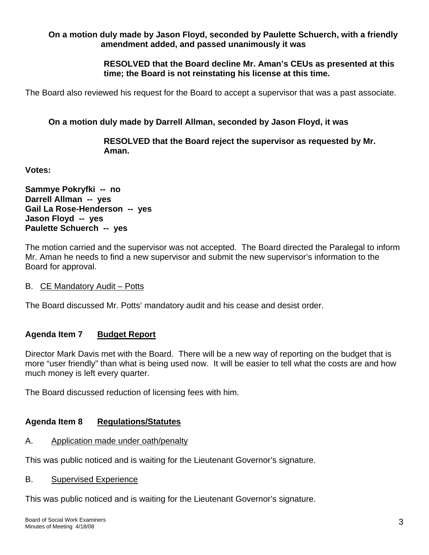### **On a motion duly made by Jason Floyd, seconded by Paulette Schuerch, with a friendly amendment added, and passed unanimously it was**

 **RESOLVED that the Board decline Mr. Aman's CEUs as presented at this time; the Board is not reinstating his license at this time.** 

The Board also reviewed his request for the Board to accept a supervisor that was a past associate.

## **On a motion duly made by Darrell Allman, seconded by Jason Floyd, it was**

 **RESOLVED that the Board reject the supervisor as requested by Mr. Aman.** 

**Votes:** 

**Sammye Pokryfki -- no Darrell Allman -- yes Gail La Rose-Henderson -- yes Jason Floyd -- yes Paulette Schuerch -- yes** 

The motion carried and the supervisor was not accepted. The Board directed the Paralegal to inform Mr. Aman he needs to find a new supervisor and submit the new supervisor's information to the Board for approval.

B. CE Mandatory Audit – Potts

The Board discussed Mr. Potts' mandatory audit and his cease and desist order.

## **Agenda Item 7 Budget Report**

Director Mark Davis met with the Board. There will be a new way of reporting on the budget that is more "user friendly" than what is being used now. It will be easier to tell what the costs are and how much money is left every quarter.

The Board discussed reduction of licensing fees with him.

## **Agenda Item 8 Regulations/Statutes**

## A. Application made under oath/penalty

This was public noticed and is waiting for the Lieutenant Governor's signature.

### B. Supervised Experience

This was public noticed and is waiting for the Lieutenant Governor's signature.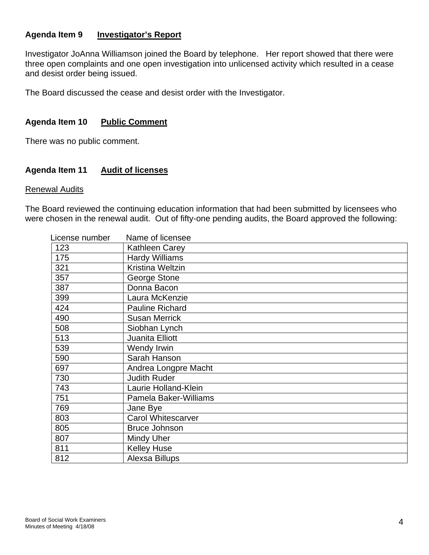### **Agenda Item 9 Investigator's Report**

Investigator JoAnna Williamson joined the Board by telephone. Her report showed that there were three open complaints and one open investigation into unlicensed activity which resulted in a cease and desist order being issued.

The Board discussed the cease and desist order with the Investigator.

### **Agenda Item 10 Public Comment**

There was no public comment.

### **Agenda Item 11 Audit of licenses**

#### Renewal Audits

The Board reviewed the continuing education information that had been submitted by licensees who were chosen in the renewal audit. Out of fifty-one pending audits, the Board approved the following:

| License number | Name of licensee          |
|----------------|---------------------------|
| 123            | Kathleen Carey            |
| 175            | <b>Hardy Williams</b>     |
| 321            | Kristina Weltzin          |
| 357            | George Stone              |
| 387            | Donna Bacon               |
| 399            | Laura McKenzie            |
| 424            | <b>Pauline Richard</b>    |
| 490            | <b>Susan Merrick</b>      |
| 508            | Siobhan Lynch             |
| 513            | Juanita Elliott           |
| 539            | Wendy Irwin               |
| 590            | Sarah Hanson              |
| 697            | Andrea Longpre Macht      |
| 730            | <b>Judith Ruder</b>       |
| 743            | Laurie Holland-Klein      |
| 751            | Pamela Baker-Williams     |
| 769            | Jane Bye                  |
| 803            | <b>Carol Whitescarver</b> |
| 805            | <b>Bruce Johnson</b>      |
| 807            | Mindy Uher                |
| 811            | <b>Kelley Huse</b>        |
| 812            | Alexsa Billups            |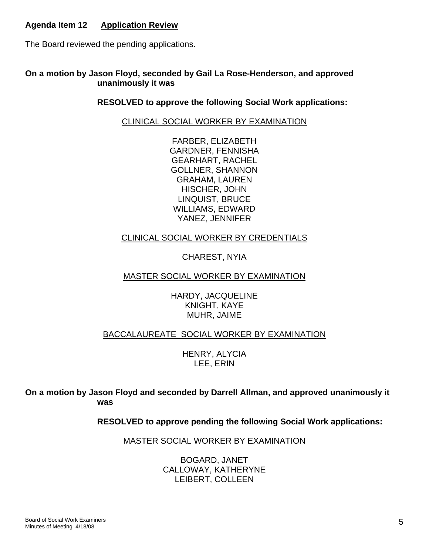## **Agenda Item 12 Application Review**

The Board reviewed the pending applications.

### **On a motion by Jason Floyd, seconded by Gail La Rose-Henderson, and approved unanimously it was**

### **RESOLVED to approve the following Social Work applications:**

### CLINICAL SOCIAL WORKER BY EXAMINATION

FARBER, ELIZABETH GARDNER, FENNISHA GEARHART, RACHEL GOLLNER, SHANNON GRAHAM, LAUREN HISCHER, JOHN LINQUIST, BRUCE WILLIAMS, EDWARD YANEZ, JENNIFER

### CLINICAL SOCIAL WORKER BY CREDENTIALS

CHAREST, NYIA

### MASTER SOCIAL WORKER BY EXAMINATION

HARDY, JACQUELINE KNIGHT, KAYE MUHR, JAIME

### BACCALAUREATE SOCIAL WORKER BY EXAMINATION

HENRY, ALYCIA LEE, ERIN

**On a motion by Jason Floyd and seconded by Darrell Allman, and approved unanimously it was** 

 **RESOLVED to approve pending the following Social Work applications:** 

MASTER SOCIAL WORKER BY EXAMINATION

BOGARD, JANET CALLOWAY, KATHERYNE LEIBERT, COLLEEN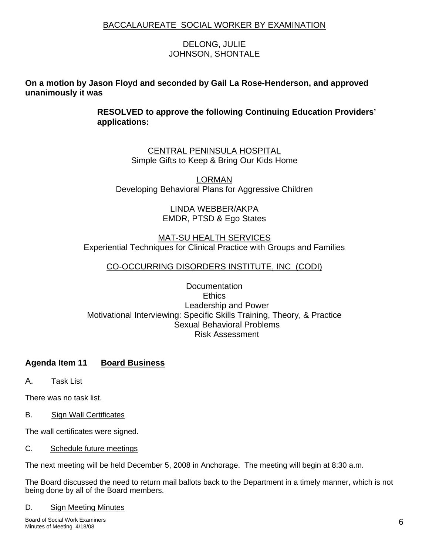### BACCALAUREATE SOCIAL WORKER BY EXAMINATION

### DELONG, JULIE JOHNSON, SHONTALE

### **On a motion by Jason Floyd and seconded by Gail La Rose-Henderson, and approved unanimously it was**

**RESOLVED to approve the following Continuing Education Providers' applications:** 

> CENTRAL PENINSULA HOSPITAL Simple Gifts to Keep & Bring Our Kids Home

LORMAN Developing Behavioral Plans for Aggressive Children

> LINDA WEBBER/AKPA EMDR, PTSD & Ego States

## MAT-SU HEALTH SERVICES Experiential Techniques for Clinical Practice with Groups and Families

### CO-OCCURRING DISORDERS INSTITUTE, INC (CODI)

### **Documentation Ethics** Leadership and Power Motivational Interviewing: Specific Skills Training, Theory, & Practice Sexual Behavioral Problems Risk Assessment

## **Agenda Item 11 Board Business**

A. Task List

There was no task list.

B. Sign Wall Certificates

The wall certificates were signed.

C. Schedule future meetings

The next meeting will be held December 5, 2008 in Anchorage. The meeting will begin at 8:30 a.m.

The Board discussed the need to return mail ballots back to the Department in a timely manner, which is not being done by all of the Board members.

#### D. Sign Meeting Minutes

Board of Social Work Examiners Minutes of Meeting 4/18/08 6